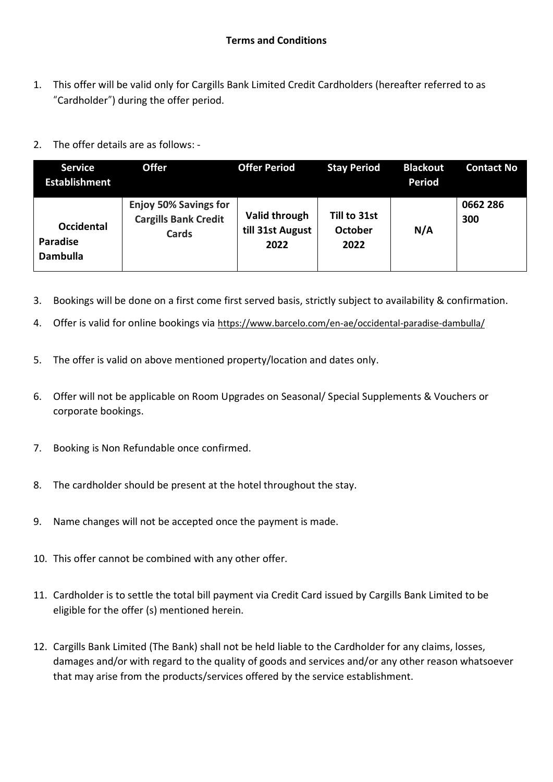- 1. This offer will be valid only for Cargills Bank Limited Credit Cardholders (hereafter referred to as "Cardholder") during the offer period.
- 2. The offer details are as follows: -

| <b>Service</b><br><b>Establishment</b>                  | <b>Offer</b>                                                                | <b>Offer Period</b>                       | <b>Stay Period</b>              | <b>Blackout</b><br><b>Period</b> | <b>Contact No</b> |
|---------------------------------------------------------|-----------------------------------------------------------------------------|-------------------------------------------|---------------------------------|----------------------------------|-------------------|
| <b>Occidental</b><br><b>Paradise</b><br><b>Dambulla</b> | <b>Enjoy 50% Savings for</b><br><b>Cargills Bank Credit</b><br><b>Cards</b> | Valid through<br>till 31st August<br>2022 | Till to 31st<br>October<br>2022 | N/A                              | 0662 286<br>300   |

- 3. Bookings will be done on a first come first served basis, strictly subject to availability & confirmation.
- 4. Offer is valid for online bookings via <https://www.barcelo.com/en-ae/occidental-paradise-dambulla/>
- 5. The offer is valid on above mentioned property/location and dates only.
- 6. Offer will not be applicable on Room Upgrades on Seasonal/ Special Supplements & Vouchers or corporate bookings.
- 7. Booking is Non Refundable once confirmed.
- 8. The cardholder should be present at the hotel throughout the stay.
- 9. Name changes will not be accepted once the payment is made.
- 10. This offer cannot be combined with any other offer.
- 11. Cardholder is to settle the total bill payment via Credit Card issued by Cargills Bank Limited to be eligible for the offer (s) mentioned herein.
- 12. Cargills Bank Limited (The Bank) shall not be held liable to the Cardholder for any claims, losses, damages and/or with regard to the quality of goods and services and/or any other reason whatsoever that may arise from the products/services offered by the service establishment.